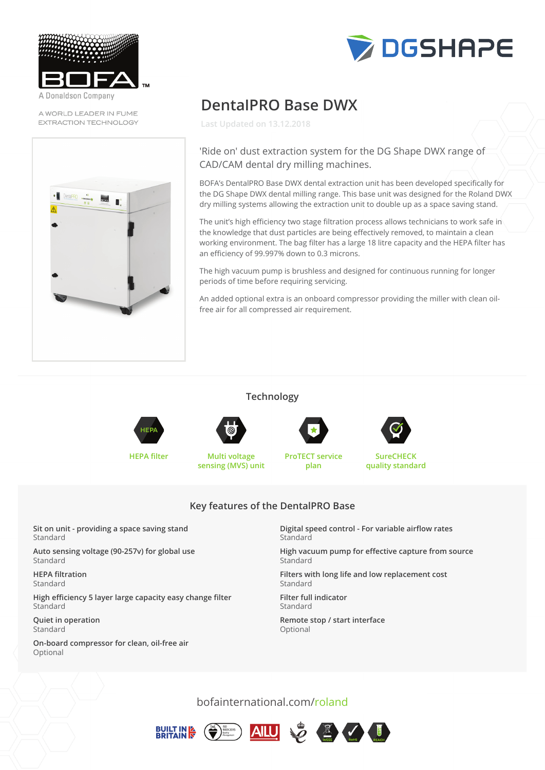

Donaldson Company

A WORLD LEADER IN FUME EXTRACTION TECHNOLOGY





# **DentalPRO Base DWX**

**Last Updated on 13.12.2018**

## 'Ride on' dust extraction system for the DG Shape DWX range of CAD/CAM dental dry milling machines.

BOFA's DentalPRO Base DWX dental extraction unit has been developed specifically for the DG Shape DWX dental milling range. This base unit was designed for the Roland DWX<br>- The million drive with the mathematic mathematic mathematic mathematic mathematic mathematic mathematic math dry milling systems allowing the extraction unit to double up as a space saving stand.

The unit's high efficiency two stage filtration process allows technicians to work safe in  $\hat{\mathcal{S}}$ the knowledge that dust particles are being effectively removed, to maintain a clean<br>dry million systems allowing the extraction unit to do up as a space superior stand. working environment. The bag filter has a large 18 litre capacity and the HEPA filter has an efficiency of 99.997% down to 0.3 microns. the unit stright emerging two stage millianon process aboves definitions to work safe in

The high vacuum pump is brushless and designed for continuous running for longer periods of time before requiring servicing. working for bagging paralytical and the bag filter has a large 18 litre capacity and the HEPA filter has a large

An added optional extra is an onboard compressor providing the miller with clean oil-<br>Continuous free air for all compressed air requirement.

### **Technology**

**Technology**



**HEPA filter Multi voltage sensing (MVS) unit**

**ProTECT service plan**



**SureCHECK quality standard**

## **Key features of the DentalPRO Base sensing (MVS) unit plan**

**Sit on unit - providing a space saving stand** Standard

**Auto sensing voltage (90-257v) for global use Standard Standard** 

**HEPA filtration Autorization** 

**High efficiency 5 layer large capacity easy change filter** Standard Standard

**Quiet in operation** Standard **High efficiency**  $\mathbf{S} = \mathbf{S}$  **is a sympathy capacity experimental filter**  $\mathbf{S} = \mathbf{S}$  **. The capacity experimental filter**  $\mathbf{S} = \mathbf{S}$  **, we can see that**  $\mathbf{S} = \mathbf{S}$  **, we can see that**  $\mathbf{S} = \mathbf{S}$  **. The capac** 

On-board compressor for clean, oil-free air **Optional** 

**Digital speed control - For variable airflow rates**  $K$ ey features of the Dental Property of the Dental Property of the Dental Property of the Dental Property of the Dental Property of the Dental Property of the Dental Property of the Dental Property of the Dental Property

> **High vacuum pump for effective capture from source** Standard **Digital speed control - For variable airflow rates**

> Filters with long life and low replacement cost Standard **High vacuum pump for effective capture from source** from source from source from source from source

**Filter full indicator Filters with long life and low replacement costs with long life and low replacement costs with low replacement costs** 

Remote stop / start interface **Optional** 

bofainternational.com/roland





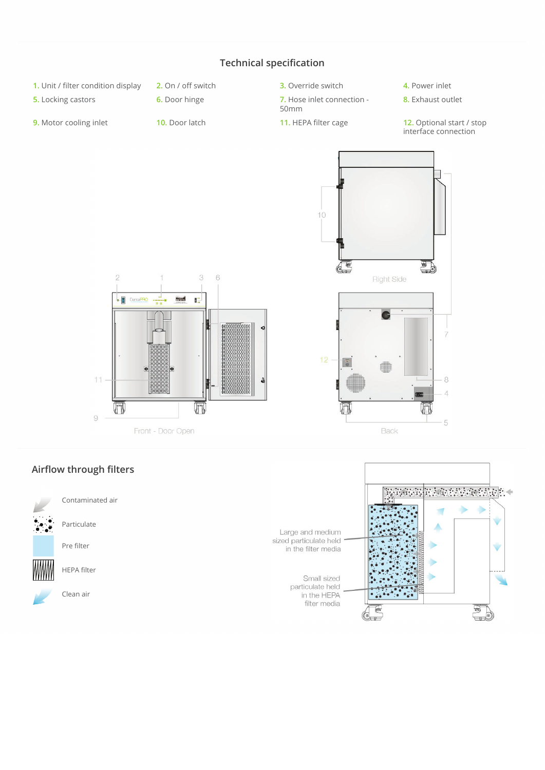

## **Airflow through filters**

Contaminated air

Particulate

Pre filter



HEPA filter

Clean air

<u> Primarkan (</u> .<br>Statističnik politika<br>Statističnik politika ۷ Large and medium<br>sized particulate held Ù in the filter media Small sized ÷ particulate held<br>in the HEPA filter media  $\blacksquare$  $\overline{\mathbf{v}}$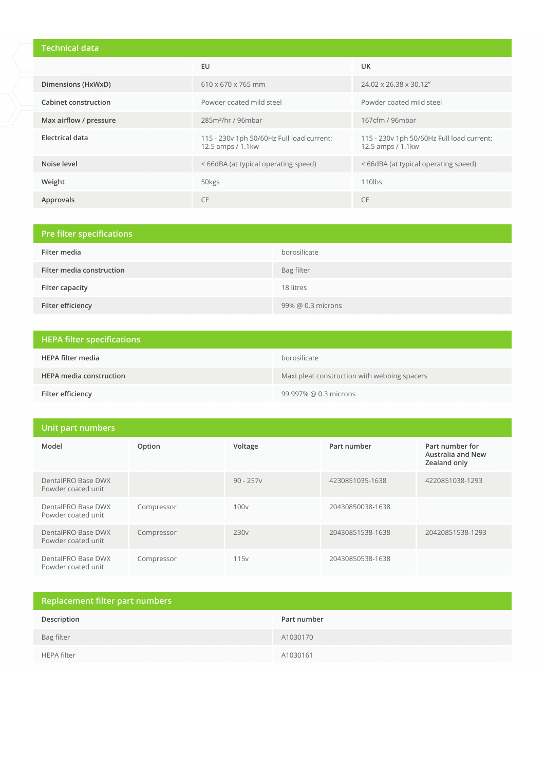# **Technical data**

|                        | EU                                                             | <b>UK</b>                                                      |
|------------------------|----------------------------------------------------------------|----------------------------------------------------------------|
| Dimensions (HxWxD)     | $610 \times 670 \times 765$ mm                                 | 24.02 x 26.38 x 30.12"                                         |
| Cabinet construction   | Powder coated mild steel<br>Powder coated mild steel           |                                                                |
| Max airflow / pressure | 285m <sup>3</sup> /hr / 96mbar                                 | 167cfm / 96mbar                                                |
| Electrical data        | 115 - 230v 1ph 50/60Hz Full load current:<br>12.5 amps / 1.1kw | 115 - 230v 1ph 50/60Hz Full load current:<br>12.5 amps / 1.1kw |
| Noise level            | <66dBA (at typical operating speed)                            | <66dBA (at typical operating speed)                            |
| Weight                 | 50kgs                                                          | $110$ lbs                                                      |
| Approvals              | <b>CE</b>                                                      | <b>CE</b>                                                      |

| Pre filter specifications |                   |  |
|---------------------------|-------------------|--|
| Filter media              | borosilicate      |  |
| Filter media construction | Bag filter        |  |
| Filter capacity           | 18 litres         |  |
| Filter efficiency         | 99% @ 0.3 microns |  |

| <b>HEPA filter specifications</b> |                                              |
|-----------------------------------|----------------------------------------------|
| HEPA filter media                 | borosilicate                                 |
| <b>HEPA media construction</b>    | Maxi pleat construction with webbing spacers |
| Filter efficiency                 | 99.997% @ 0.3 microns                        |

| Unit part numbers                        |            |                  |                  |                                                             |
|------------------------------------------|------------|------------------|------------------|-------------------------------------------------------------|
| Model                                    | Option     | Voltage          | Part number      | Part number for<br><b>Australia and New</b><br>Zealand only |
| DentalPRO Base DWX<br>Powder coated unit |            | $90 - 257v$      | 4230851035-1638  | 4220851038-1293                                             |
| DentalPRO Base DWX<br>Powder coated unit | Compressor | 100v             | 20430850038-1638 |                                                             |
| DentalPRO Base DWX<br>Powder coated unit | Compressor | 230 <sub>v</sub> | 20430851538-1638 | 20420851538-1293                                            |
| DentalPRO Base DWX<br>Powder coated unit | Compressor | 115 <sub>v</sub> | 20430850538-1638 |                                                             |

| Replacement filter part numbers |             |  |
|---------------------------------|-------------|--|
| Description                     | Part number |  |
| Bag filter                      | A1030170    |  |
| HEPA filter                     | A1030161    |  |